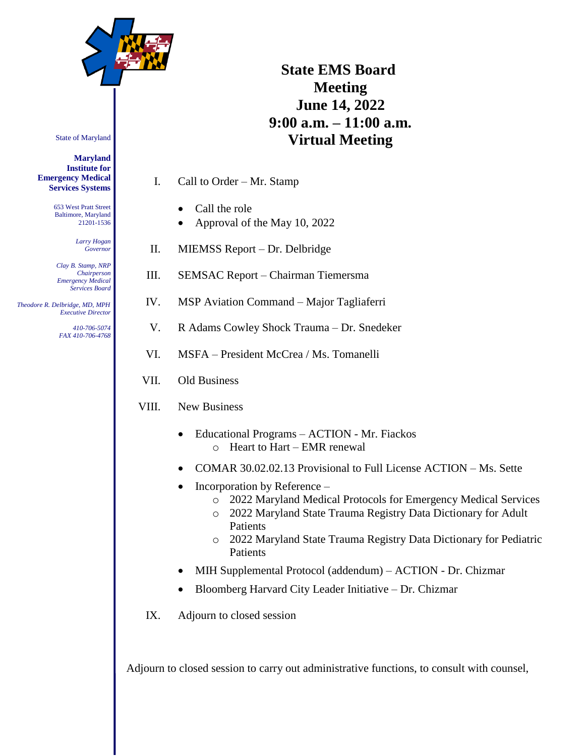

## State of Maryland

## **Maryland Institute for Emergency Medical Services Systems**

653 West Pratt Street Baltimore, Maryland 21201-1536

> *Larry Hogan Governor*

*Clay B. Stamp, NRP Chairperson Emergency Medical Services Board*

 *Theodore R. Delbridge, MD, MPH Executive Director*

> *410-706-5074 FAX 410-706-4768*

## **State EMS Board Meeting June 14, 2022 9:00 a.m. – 11:00 a.m. Virtual Meeting**

I. Call to Order – Mr. Stamp

- Call the role
- Approval of the May 10, 2022
- II. MIEMSS Report Dr. Delbridge
- III. SEMSAC Report Chairman Tiemersma
- IV. MSP Aviation Command Major Tagliaferri
- V. R Adams Cowley Shock Trauma Dr. Snedeker
- VI. MSFA President McCrea / Ms. Tomanelli
- VII. Old Business
- VIII. New Business
	- Educational Programs ACTION Mr. Fiackos o Heart to Hart – EMR renewal
	- COMAR 30.02.02.13 Provisional to Full License ACTION Ms. Sette
	- Incorporation by Reference
		- o 2022 Maryland Medical Protocols for Emergency Medical Services
		- o 2022 Maryland State Trauma Registry Data Dictionary for Adult Patients
		- o 2022 Maryland State Trauma Registry Data Dictionary for Pediatric Patients
	- MIH Supplemental Protocol (addendum) ACTION Dr. Chizmar
	- Bloomberg Harvard City Leader Initiative Dr. Chizmar
	- IX. Adjourn to closed session

Adjourn to closed session to carry out administrative functions, to consult with counsel,